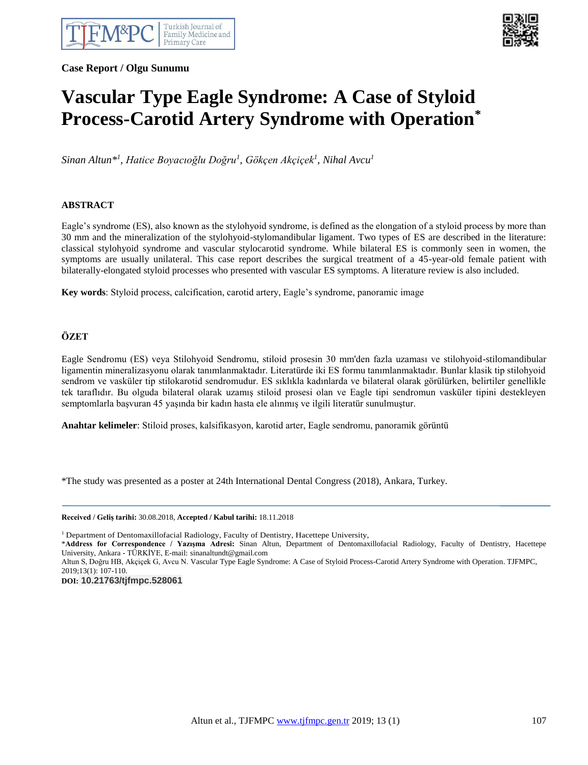**Case Report / Olgu Sunumu**



# **Vascular Type Eagle Syndrome: A Case of Styloid Process-Carotid Artery Syndrome with Operation\***

*Sinan Altun\* 1 , Hatice Boyacıoğlu Doğru<sup>1</sup> , Gökçen Akçiçek<sup>1</sup> , Nihal Avcu<sup>1</sup>*

 $\overline{a}$ 

## **ABSTRACT**

Eagle's syndrome (ES), also known as the stylohyoid syndrome, is defined as the elongation of a styloid process by more than 30 mm and the mineralization of the stylohyoid-stylomandibular ligament. Two types of ES are described in the literature: classical stylohyoid syndrome and vascular stylocarotid syndrome. While bilateral ES is commonly seen in women, the symptoms are usually unilateral. This case report describes the surgical treatment of a 45-year-old female patient with bilaterally-elongated styloid processes who presented with vascular ES symptoms. A literature review is also included.

**Key words**: Styloid process, calcification, carotid artery, Eagle's syndrome, panoramic image

## **ÖZET**

Eagle Sendromu (ES) veya Stilohyoid Sendromu, stiloid prosesin 30 mm'den fazla uzaması ve stilohyoid-stilomandibular ligamentin mineralizasyonu olarak tanımlanmaktadır. Literatürde iki ES formu tanımlanmaktadır. Bunlar klasik tip stilohyoid sendrom ve vasküler tip stilokarotid sendromudur. ES sıklıkla kadınlarda ve bilateral olarak görülürken, belirtiler genellikle tek taraflıdır. Bu olguda bilateral olarak uzamış stiloid prosesi olan ve Eagle tipi sendromun vasküler tipini destekleyen semptomlarla başvuran 45 yaşında bir kadın hasta ele alınmış ve ilgili literatür sunulmuştur.

**Anahtar kelimeler**: Stiloid proses, kalsifikasyon, karotid arter, Eagle sendromu, panoramik görüntü

\*The study was presented as a poster at 24th International Dental Congress (2018), Ankara, Turkey.

**Received / Geliş tarihi:** 30.08.2018, **Accepted / Kabul tarihi:** 18.11.2018

<sup>1</sup> Department of Dentomaxillofacial Radiology, Faculty of Dentistry, Hacettepe University,

\***Address for Correspondence / Yazışma Adresi:** Sinan Altun, Department of Dentomaxillofacial Radiology, Faculty of Dentistry, Hacettepe University, Ankara - TÜRKİYE, E-mail: sinanaltundt@gmail.com

Altun S, Doğru HB, Akçiçek G, Avcu N. Vascular Type Eagle Syndrome: A Case of Styloid Process-Carotid Artery Syndrome with Operation. TJFMPC, 2019;13(1): 107-110.

**DOI: 10.21763/tjfmpc.528061**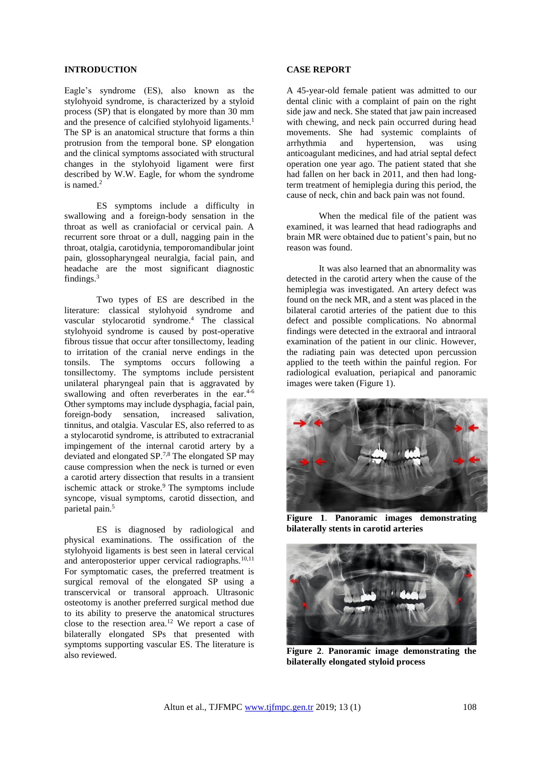#### **INTRODUCTION**

Eagle's syndrome (ES), also known as the stylohyoid syndrome, is characterized by a styloid process (SP) that is elongated by more than 30 mm and the presence of calcified stylohyoid ligaments.<sup>1</sup> The SP is an anatomical structure that forms a thin protrusion from the temporal bone. SP elongation and the clinical symptoms associated with structural changes in the stylohyoid ligament were first described by W.W. Eagle, for whom the syndrome is named. 2

ES symptoms include a difficulty in swallowing and a foreign-body sensation in the throat as well as craniofacial or cervical pain. A recurrent sore throat or a dull, nagging pain in the throat, otalgia, carotidynia, temporomandibular joint pain, glossopharyngeal neuralgia, facial pain, and headache are the most significant diagnostic findings.<sup>3</sup>

Two types of ES are described in the literature: classical stylohyoid syndrome and vascular stylocarotid syndrome.<sup>4</sup> The classical stylohyoid syndrome is caused by post-operative fibrous tissue that occur after tonsillectomy, leading to irritation of the cranial nerve endings in the tonsils. The symptoms occurs following a tonsillectomy. The symptoms include persistent unilateral pharyngeal pain that is aggravated by swallowing and often reverberates in the ear.<sup>4-6</sup> Other symptoms may include dysphagia, facial pain, foreign-body sensation, increased salivation, tinnitus, and otalgia. Vascular ES, also referred to as a stylocarotid syndrome, is attributed to extracranial impingement of the internal carotid artery by a deviated and elongated SP.7,8 The elongated SP may cause compression when the neck is turned or even a carotid artery dissection that results in a transient ischemic attack or stroke.<sup>9</sup> The symptoms include syncope, visual symptoms, carotid dissection, and parietal pain.<sup>5</sup>

ES is diagnosed by radiological and physical examinations. The ossification of the stylohyoid ligaments is best seen in lateral cervical and anteroposterior upper cervical radiographs.<sup>10,11</sup> For symptomatic cases, the preferred treatment is surgical removal of the elongated SP using a transcervical or transoral approach. Ultrasonic osteotomy is another preferred surgical method due to its ability to preserve the anatomical structures close to the resection area.<sup>12</sup> We report a case of bilaterally elongated SPs that presented with symptoms supporting vascular ES. The literature is also reviewed.

#### **CASE REPORT**

A 45-year-old female patient was admitted to our dental clinic with a complaint of pain on the right side jaw and neck. She stated that jaw pain increased with chewing, and neck pain occurred during head movements. She had systemic complaints of arrhythmia and hypertension, was using anticoagulant medicines, and had atrial septal defect operation one year ago. The patient stated that she had fallen on her back in 2011, and then had longterm treatment of hemiplegia during this period, the cause of neck, chin and back pain was not found.

When the medical file of the patient was examined, it was learned that head radiographs and brain MR were obtained due to patient's pain, but no reason was found.

It was also learned that an abnormality was detected in the carotid artery when the cause of the hemiplegia was investigated. An artery defect was found on the neck MR, and a stent was placed in the bilateral carotid arteries of the patient due to this defect and possible complications. No abnormal findings were detected in the extraoral and intraoral examination of the patient in our clinic. However, the radiating pain was detected upon percussion applied to the teeth within the painful region. For radiological evaluation, periapical and panoramic images were taken (Figure 1).



**Figure 1**. **Panoramic images demonstrating bilaterally stents in carotid arteries**



**Figure 2**. **Panoramic image demonstrating the bilaterally elongated styloid process**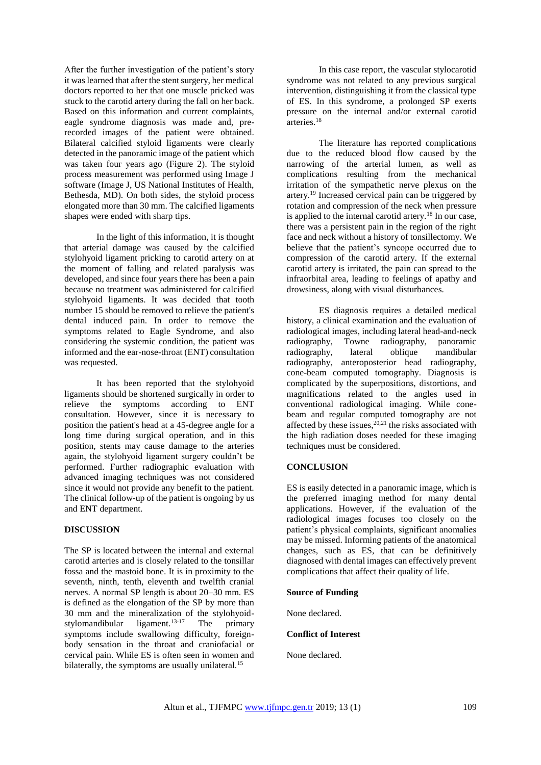After the further investigation of the patient's story it was learned that after the stent surgery, her medical doctors reported to her that one muscle pricked was stuck to the carotid artery during the fall on her back. Based on this information and current complaints, eagle syndrome diagnosis was made and, prerecorded images of the patient were obtained. Bilateral calcified styloid ligaments were clearly detected in the panoramic image of the patient which was taken four years ago (Figure 2). The styloid process measurement was performed using Image J software (Image J, US National Institutes of Health, Bethesda, MD). On both sides, the styloid process elongated more than 30 mm. The calcified ligaments shapes were ended with sharp tips.

In the light of this information, it is thought that arterial damage was caused by the calcified stylohyoid ligament pricking to carotid artery on at the moment of falling and related paralysis was developed, and since four years there has been a pain because no treatment was administered for calcified stylohyoid ligaments. It was decided that tooth number 15 should be removed to relieve the patient's dental induced pain. In order to remove the symptoms related to Eagle Syndrome, and also considering the systemic condition, the patient was informed and the ear-nose-throat (ENT) consultation was requested.

It has been reported that the stylohyoid ligaments should be shortened surgically in order to relieve the symptoms according to ENT consultation. However, since it is necessary to position the patient's head at a 45-degree angle for a long time during surgical operation, and in this position, stents may cause damage to the arteries again, the stylohyoid ligament surgery couldn't be performed. Further radiographic evaluation with advanced imaging techniques was not considered since it would not provide any benefit to the patient. The clinical follow-up of the patient is ongoing by us and ENT department.

#### **DISCUSSION**

The SP is located between the internal and external carotid arteries and is closely related to the tonsillar fossa and the mastoid bone. It is in proximity to the seventh, ninth, tenth, eleventh and twelfth cranial nerves. A normal SP length is about 20–30 mm. ES is defined as the elongation of the SP by more than 30 mm and the mineralization of the stylohyoid-<br>stylomandibular ligament.<sup>13-17</sup> The primary stylomandibular ligament.<sup>13-17</sup> The primary symptoms include swallowing difficulty, foreignbody sensation in the throat and craniofacial or cervical pain. While ES is often seen in women and bilaterally, the symptoms are usually unilateral.<sup>15</sup>

In this case report, the vascular stylocarotid syndrome was not related to any previous surgical intervention, distinguishing it from the classical type of ES. In this syndrome, a prolonged SP exerts pressure on the internal and/or external carotid arteries.<sup>18</sup>

The literature has reported complications due to the reduced blood flow caused by the narrowing of the arterial lumen, as well as complications resulting from the mechanical irritation of the sympathetic nerve plexus on the artery.<sup>19</sup> Increased cervical pain can be triggered by rotation and compression of the neck when pressure is applied to the internal carotid artery.<sup>18</sup> In our case, there was a persistent pain in the region of the right face and neck without a history of tonsillectomy. We believe that the patient's syncope occurred due to compression of the carotid artery. If the external carotid artery is irritated, the pain can spread to the infraorbital area, leading to feelings of apathy and drowsiness, along with visual disturbances.

ES diagnosis requires a detailed medical history, a clinical examination and the evaluation of radiological images, including lateral head-and-neck radiography, Towne radiography, panoramic radiography, radiography, anteroposterior head radiography, cone-beam computed tomography. Diagnosis is complicated by the superpositions, distortions, and magnifications related to the angles used in conventional radiological imaging. While conebeam and regular computed tomography are not affected by these issues,  $20,21$  the risks associated with the high radiation doses needed for these imaging techniques must be considered.

### **CONCLUSION**

ES is easily detected in a panoramic image, which is the preferred imaging method for many dental applications. However, if the evaluation of the radiological images focuses too closely on the patient's physical complaints, significant anomalies may be missed. Informing patients of the anatomical changes, such as ES, that can be definitively diagnosed with dental images can effectively prevent complications that affect their quality of life.

#### **Source of Funding**

None declared.

#### **Conflict of Interest**

None declared.